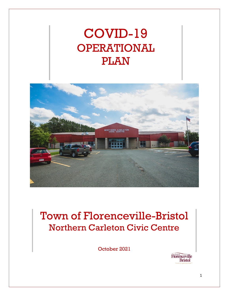# COVID-19 OPERATIONAL PLAN



# Town of Florenceville-Bristol Northern Carleton Civic Centre

October 2021

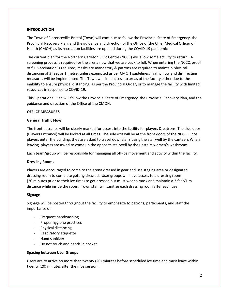#### **INTRODUCTION**

The Town of Florenceville-Bristol (Town) will continue to follow the Provincial State of Emergency, the Provincial Recovery Plan, and the guidance and direction of the Office of the Chief Medical Officer of Health (CMOH) as its recreation facilities are opened during the COVID-19 pandemic.

The current plan for the Northern Carleton Civic Centre (NCCC) will allow some activity to return. A screening process is required for the arena now that we are back to full. When entering the NCCC, proof of full vaccination is required, masks are mandatory & patrons are required to maintain physical distancing of 3 feet or 1 metre, unless exempted as per CMOH guidelines. Traffic flow and disinfecting measures will be implemented. The Town will limit access to areas of the facility either due to the inability to ensure physical distancing, as per the Provincial Order, or to manage the facility with limited resources in response to COVID-19.

This Operational Plan will follow the Provincial State of Emergency, the Provincial Recovery Plan, and the guidance and direction of the Office of the CMOH.

#### **OFF ICE MEASURES**

#### **General Traffic Flow**

The front entrance will be clearly marked for access into the facility for players & patrons. The side door (Players Entrance) will be locked at all times. The sole exit will be at the front doors of the NCCC. Once players enter the building, they are asked to travel downstairs using the stairwell by the canteen. When leaving, players are asked to come up the opposite stairwell by the upstairs women's washroom.

Each team/group will be responsible for managing all off-ice movement and activity within the facility.

#### **Dressing Rooms**

Players are encouraged to come to the arena dressed in gear and use staging area or designated dressing room to complete getting dressed. User groups will have access to a dressing room (20 minutes prior to their ice time) to get dressed but must wear a mask and maintain a 3 feet/1 m distance while inside the room. Town staff will sanitize each dressing room after each use.

#### **Signage**

Signage will be posted throughout the facility to emphasize to patrons, participants, and staff the importance of:

- Frequent handwashing
- Proper hygiene practices
- Physical distancing
- Respiratory etiquette
- Hand sanitizer
- Do not touch and hands in pocket

#### **Spacing between User Groups**

Users are to arrive no more than twenty (20) minutes before scheduled ice time and must leave within twenty (20) minutes after their ice session.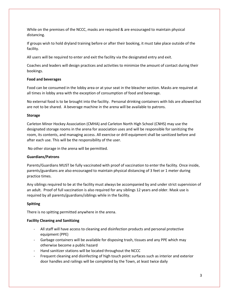While on the premises of the NCCC, masks are required & are encouraged to maintain physical distancing.

If groups wish to hold dryland training before or after their booking, it must take place outside of the facility.

All users will be required to enter and exit the facility via the designated entry and exit.

Coaches and leaders will design practices and activities to minimize the amount of contact during their bookings.

# **Food and beverages**

Food can be consumed in the lobby area or at your seat in the bleacher section. Masks are required at all times in lobby area with the exception of consumption of food and beverage.

No external food is to be brought into the facility. Personal drinking containers with lids are allowed but are not to be shared. A beverage machine in the arena will be available to patrons.

#### **Storage**

Carleton Minor Hockey Association (CMHA) and Carleton North High School (CNHS) may use the designated storage rooms in the arena for association uses and will be responsible for sanitizing the room, its contents, and managing access. All exercise or drill equipment shall be sanitized before and after each use. This will be the responsibility of the user.

No other storage in the arena will be permitted.

# **Guardians/Patrons**

Parents/Guardians MUST be fully vaccinated with proof of vaccination to enter the facility. Once inside, parents/guardians are also encouraged to maintain physical distancing of 3 feet or 1 meter during practice times.

Any siblings required to be at the facility must always be accompanied by and under strict supervision of an adult. Proof of full vaccination is also required for any siblings 12 years and older. Mask use is required by all parents/guardians/siblings while in the facility.

# **Spitting**

There is no spitting permitted anywhere in the arena.

# **Facility Cleaning and Sanitizing**

- All staff will have access to cleaning and disinfection products and personal protective equipment (PPE)
- Garbage containers will be available for disposing trash, tissues and any PPE which may otherwise become a public hazard
- Hand sanitizer stations will be located throughout the NCCC
- Frequent cleaning and disinfecting of high touch point surfaces such as interior and exterior door handles and railings will be completed by the Town, at least twice daily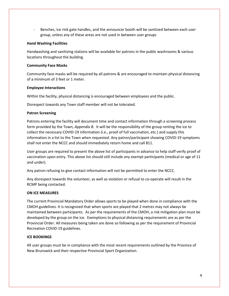Benches, ice rink gate handles, and the announcer booth will be sanitized between each user group, unless any of these areas are not used in between user groups

#### **Hand Washing Facilities**

Handwashing and sanitizing stations will be available for patrons in the public washrooms & various locations throughout the building.

#### **Community Face Masks**

Community face masks will be required by all patrons & are encouraged to maintain physical distancing of a minimum of 3 feet or 1 meter.

#### **Employee Interactions**

Within the facility, physical distancing is encouraged between employees and the public.

Disrespect towards any Town staff member will not be tolerated.

#### **Patron Screening**

Patrons entering the facility will document time and contact information through a screening process form provided by the Town, *Appendix B*. It will be the responsibility of the group renting the ice to collect the necessary COVID-19 information (i.e., proof of full vaccination, etc.) and supply this information in a list to the Town when requested. Any patron/participant showing COVID-19 symptoms shall not enter the NCCC and should immediately return home and call 811.

User groups are required to present the above list of participants in advance to help staff verify proof of vaccination upon entry. This above list should still include any exempt participants (medical or age of 11 and under).

Any patron refusing to give contact information will not be permitted to enter the NCCC.

Any disrespect towards the volunteer, as well as violation or refusal to co-operate will result in the RCMP being contacted.

#### **ON ICE MEASURES**

The current Provincial Mandatory Order allows sports to be played when done in compliance with the CMOH guidelines. It is recognized that when sports are played that 2 metres may not always be maintained between participants. As per the requirements of the CMOH, a risk mitigation plan must be developed by the group on the ice. Exemptions to physical distancing requirements are as per the Provincial Order. All measures being taken are done so following as per the requirement of Provincial Recreation COVID-19 guidelines.

#### **ICE BOOKINGS**

All user groups must be in compliance with the most recent requirements outlined by the Province of New Brunswick and their respective Provincial Sport Organization.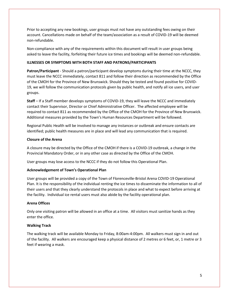Prior to accepting any new bookings, user groups must not have any outstanding fees owing on their account. Cancellations made on behalf of the team/association as a result of COVID-19 will be deemed non-refundable.

Non-compliance with any of the requirements within this document will result in user groups being asked to leave the facility, forfeiting their future ice times and bookings will be deemed non-refundable.

#### **ILLNESSES OR SYMPTOMS WITH BOTH STAFF AND PATRONS/PARTICIPANTS**

**Patron/Participant** - Should a patron/participant develop symptoms during their time at the NCCC, they must leave the NCCC immediately, contact 811 and follow their direction as recommended by the Office of the CMOH for the Province of New Brunswick. Should they be tested and found positive for COVID-19, we will follow the communication protocols given by public health, and notify all ice users, and user groups.

**Staff** – If a Staff member develops symptoms of COVID-19, they will leave the NCCC and immediately contact their Supervisor, Director or Chief Administrative Officer. The affected employee will be required to contact 811 as recommended by the Office of the CMOH for the Province of New Brunswick. Additional measures provided by the Town's Human Resources Department will be followed.

Regional Public Health will be involved to manage any instances or outbreak and ensure contacts are identified; public health measures are in place and will lead any communication that is required.

# **Closure of the Arena**

A closure may be directed by the Office of the CMOH if there is a COVID-19 outbreak, a change in the Provincial Mandatory Order, or in any other case as directed by the Office of the CMOH.

User groups may lose access to the NCCC if they do not follow this Operational Plan.

# **Acknowledgement of Town's Operational Plan**

User groups will be provided a copy of the Town of Florenceville-Bristol Arena COVID-19 Operational Plan. It is the responsibility of the individual renting the ice times to disseminate the information to all of their users and that they clearly understand the protocols in place and what to expect before arriving at the facility. Individual ice rental users must also abide by the facility operational plan.

#### **Arena Offices**

Only one visiting patron will be allowed in an office at a time. All visitors must sanitize hands as they enter the office.

# **Walking Track**

The walking track will be available Monday to Friday, 8:00am-4:00pm. All walkers must sign in and out of the facility. All walkers are encouraged keep a physical distance of 2 metres or 6 feet, or, 1 metre or 3 feet if wearing a mask.